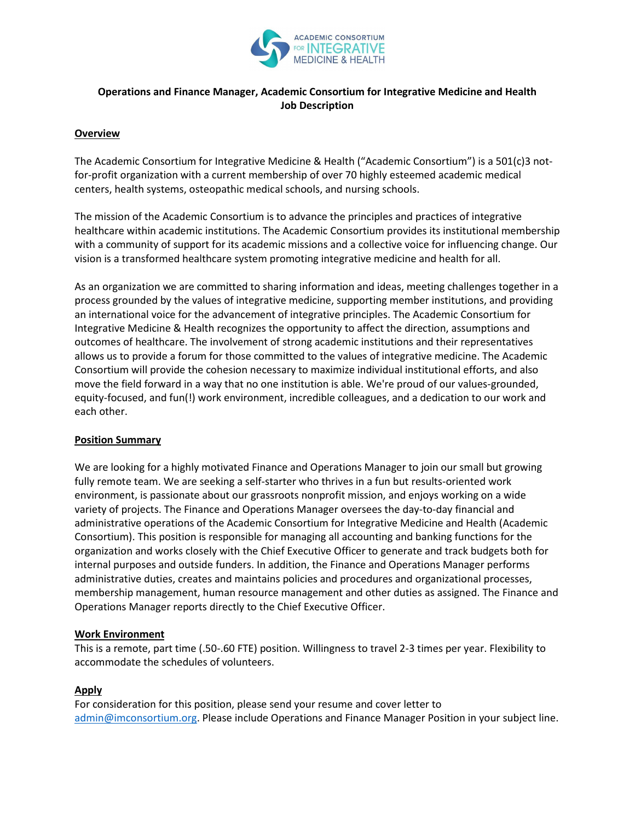

# **Operations and Finance Manager, Academic Consortium for Integrative Medicine and Health Job Description**

#### **Overview**

The Academic Consortium for Integrative Medicine & Health ("Academic Consortium") is a 501(c)3 notfor-profit organization with a current membership of over 70 highly esteemed academic medical centers, health systems, osteopathic medical schools, and nursing schools.

The mission of the Academic Consortium is to advance the principles and practices of integrative healthcare within academic institutions. The Academic Consortium provides its institutional membership with a community of support for its academic missions and a collective voice for influencing change. Our vision is a transformed healthcare system promoting integrative medicine and health for all.

As an organization we are committed to sharing information and ideas, meeting challenges together in a process grounded by the values of integrative medicine, supporting member institutions, and providing an international voice for the advancement of integrative principles. The Academic Consortium for Integrative Medicine & Health recognizes the opportunity to affect the direction, assumptions and outcomes of healthcare. The involvement of strong academic institutions and their representatives allows us to provide a forum for those committed to the values of integrative medicine. The Academic Consortium will provide the cohesion necessary to maximize individual institutional efforts, and also move the field forward in a way that no one institution is able. We're proud of our values-grounded, equity-focused, and fun(!) work environment, incredible colleagues, and a dedication to our work and each other.

#### **Position Summary**

We are looking for a highly motivated Finance and Operations Manager to join our small but growing fully remote team. We are seeking a self-starter who thrives in a fun but results-oriented work environment, is passionate about our grassroots nonprofit mission, and enjoys working on a wide variety of projects. The Finance and Operations Manager oversees the day-to-day financial and administrative operations of the Academic Consortium for Integrative Medicine and Health (Academic Consortium). This position is responsible for managing all accounting and banking functions for the organization and works closely with the Chief Executive Officer to generate and track budgets both for internal purposes and outside funders. In addition, the Finance and Operations Manager performs administrative duties, creates and maintains policies and procedures and organizational processes, membership management, human resource management and other duties as assigned. The Finance and Operations Manager reports directly to the Chief Executive Officer.

#### **Work Environment**

This is a remote, part time (.50-.60 FTE) position. Willingness to travel 2-3 times per year. Flexibility to accommodate the schedules of volunteers.

### **Apply**

For consideration for this position, please send your resume and cover letter to [admin@imconsortium.org.](mailto:admin@imconsortium.org) Please include Operations and Finance Manager Position in your subject line.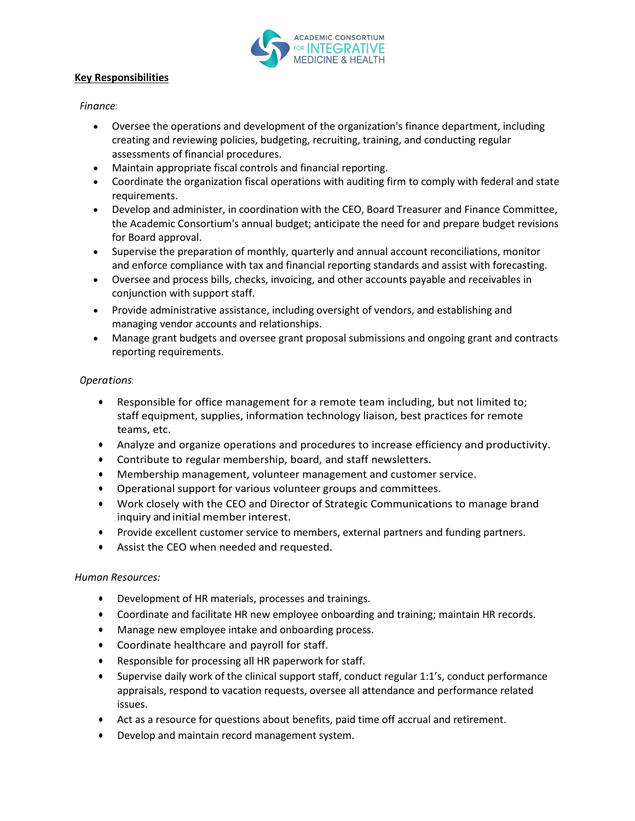

## **Key Responsibilities**

## *Finance:*

- Oversee the operations and development of the organization's finance department, including creating and reviewing policies, budgeting, recruiting, training, and conducting regular assessments of financial procedures.
- Maintain appropriate fiscal controls and financial reporting.
- Coordinate the organization fiscal operations with auditing firm to comply with federal and state requirements.
- Develop and administer, in coordination with the CEO, Board Treasurer and Finance Committee, the Academic Consortium's annual budget; anticipate the need for and prepare budget revisions for Board approval.
- Supervise the preparation of monthly, quarterly and annual account reconciliations, monitor and enforce compliance with tax and financial reporting standards and assist with forecasting.
- Oversee and process bills, checks, invoicing, and other accounts payable and receivables in conjunction with support staff.
- Provide administrative assistance, including oversight of vendors, and establishing and managing vendor accounts and relationships.
- Manage grant budgets and oversee grant proposal submissions and ongoing grant and contracts reporting requirements.

# *Operations:*

- Responsible for office management for a remote team including, but not limited to; staff equipment, supplies, information technology liaison, best practices for remote teams, etc.
- Analyze and organize operations and procedures to increase efficiency and productivity.
- Contribute to regular membership, board, and staff newsletters.
- Membership management, volunteer management and customer service.
- Operational support for various volunteer groups and committees.
- Work closely with the CEO and Director of Strategic Communications to manage brand inquiry and initial member interest.
- Provide excellent customer service to members, external partners and funding partners.
- Assist the CEO when needed and requested.

# *Human Resources:*

- Development of HR materials, processes and trainings.
- Coordinate and facilitate HR new employee onboarding and training; maintain HR records.
- Manage new employee intake and onboarding process.
- Coordinate healthcare and payroll for staff.
- Responsible for processing all HR paperwork for staff.
- Supervise daily work of the clinical support staff, conduct regular 1:1's, conduct performance appraisals, respond to vacation requests, oversee all attendance and performance related issues.
- Act as a resource for questions about benefits, paid time off accrual and retirement.
- Develop and maintain record management system.